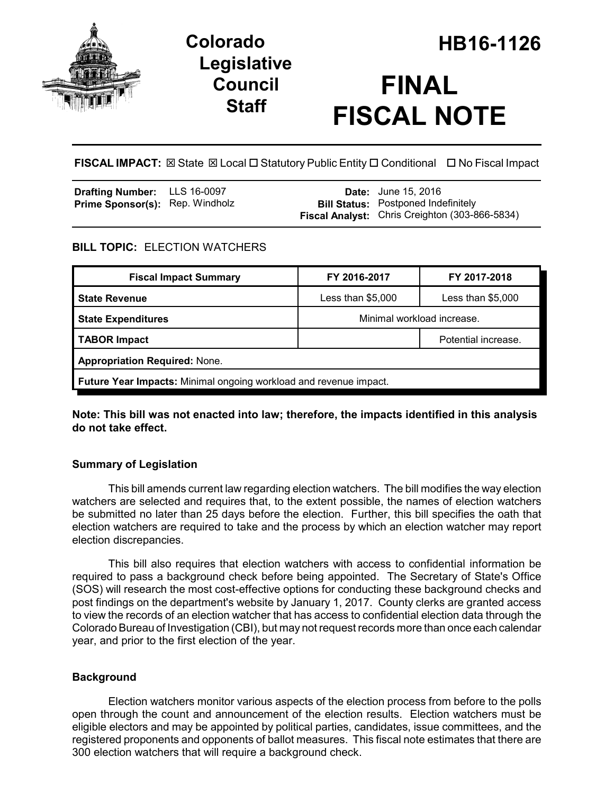

# **Legislative Council Staff**

# **FINAL FISCAL NOTE**

**FISCAL IMPACT:** ⊠ State ⊠ Local □ Statutory Public Entity □ Conditional □ No Fiscal Impact

| <b>Drafting Number:</b> LLS 16-0097    |  | <b>Date:</b> June 15, 2016                            |
|----------------------------------------|--|-------------------------------------------------------|
| <b>Prime Sponsor(s):</b> Rep. Windholz |  | <b>Bill Status:</b> Postponed Indefinitely            |
|                                        |  | <b>Fiscal Analyst:</b> Chris Creighton (303-866-5834) |

### **BILL TOPIC:** ELECTION WATCHERS

| <b>Fiscal Impact Summary</b>                                      | FY 2016-2017               | FY 2017-2018        |  |  |  |
|-------------------------------------------------------------------|----------------------------|---------------------|--|--|--|
| <b>State Revenue</b>                                              | Less than $$5,000$         | Less than $$5,000$  |  |  |  |
| <b>State Expenditures</b>                                         | Minimal workload increase. |                     |  |  |  |
| <b>TABOR Impact</b>                                               |                            | Potential increase. |  |  |  |
| <b>Appropriation Required: None.</b>                              |                            |                     |  |  |  |
| Future Year Impacts: Minimal ongoing workload and revenue impact. |                            |                     |  |  |  |

**Note: This bill was not enacted into law; therefore, the impacts identified in this analysis do not take effect.** 

### **Summary of Legislation**

This bill amends current law regarding election watchers. The bill modifies the way election watchers are selected and requires that, to the extent possible, the names of election watchers be submitted no later than 25 days before the election. Further, this bill specifies the oath that election watchers are required to take and the process by which an election watcher may report election discrepancies.

This bill also requires that election watchers with access to confidential information be required to pass a background check before being appointed. The Secretary of State's Office (SOS) will research the most cost-effective options for conducting these background checks and post findings on the department's website by January 1, 2017. County clerks are granted access to view the records of an election watcher that has access to confidential election data through the Colorado Bureau of Investigation (CBI), but may not request records more than once each calendar year, and prior to the first election of the year.

#### **Background**

Election watchers monitor various aspects of the election process from before to the polls open through the count and announcement of the election results. Election watchers must be eligible electors and may be appointed by political parties, candidates, issue committees, and the registered proponents and opponents of ballot measures. This fiscal note estimates that there are 300 election watchers that will require a background check.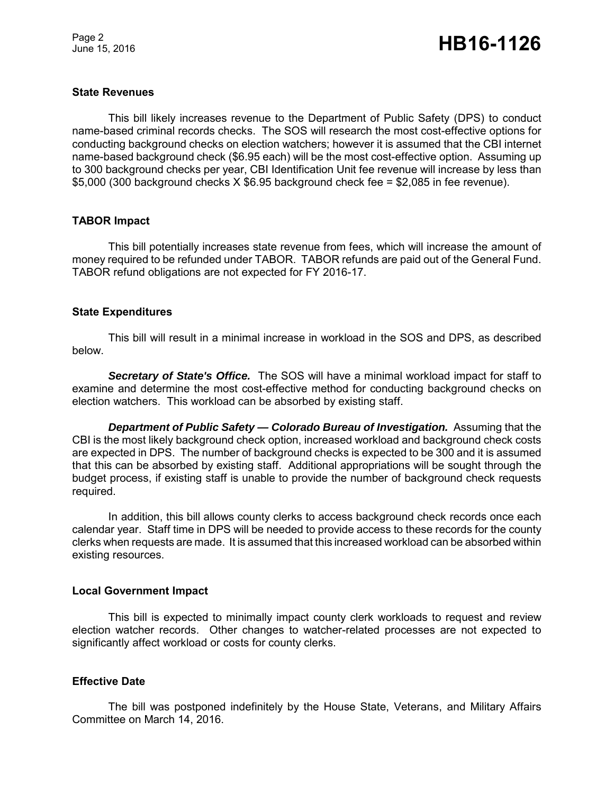Page 2

## Page 2<br>June 15, 2016 **HB16-1126**

#### **State Revenues**

This bill likely increases revenue to the Department of Public Safety (DPS) to conduct name-based criminal records checks. The SOS will research the most cost-effective options for conducting background checks on election watchers; however it is assumed that the CBI internet name-based background check (\$6.95 each) will be the most cost-effective option. Assuming up to 300 background checks per year, CBI Identification Unit fee revenue will increase by less than \$5,000 (300 background checks X \$6.95 background check fee = \$2,085 in fee revenue).

#### **TABOR Impact**

This bill potentially increases state revenue from fees, which will increase the amount of money required to be refunded under TABOR. TABOR refunds are paid out of the General Fund. TABOR refund obligations are not expected for FY 2016-17.

#### **State Expenditures**

This bill will result in a minimal increase in workload in the SOS and DPS, as described below.

*Secretary of State's Office.* The SOS will have a minimal workload impact for staff to examine and determine the most cost-effective method for conducting background checks on election watchers. This workload can be absorbed by existing staff.

*Department of Public Safety — Colorado Bureau of Investigation.* Assuming that the CBI is the most likely background check option, increased workload and background check costs are expected in DPS. The number of background checks is expected to be 300 and it is assumed that this can be absorbed by existing staff. Additional appropriations will be sought through the budget process, if existing staff is unable to provide the number of background check requests required.

In addition, this bill allows county clerks to access background check records once each calendar year. Staff time in DPS will be needed to provide access to these records for the county clerks when requests are made. It is assumed that this increased workload can be absorbed within existing resources.

#### **Local Government Impact**

This bill is expected to minimally impact county clerk workloads to request and review election watcher records. Other changes to watcher-related processes are not expected to significantly affect workload or costs for county clerks.

#### **Effective Date**

The bill was postponed indefinitely by the House State, Veterans, and Military Affairs Committee on March 14, 2016.